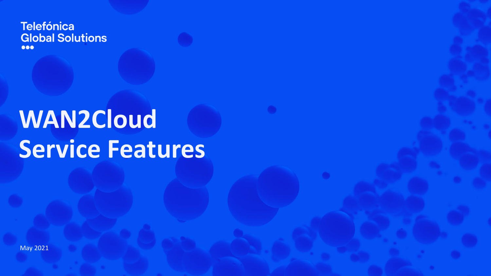**Telefónica Global Solutions**  $\bullet\bullet\bullet$ 

# **WAN2Cloud Service Features**

May 2021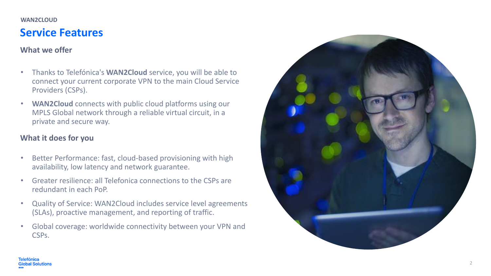#### **WAN2CLOUD**

# **Service Features**

# **What we offer**

- Thanks to Telefónica's **WAN2Cloud** service, you will be able to connect your current corporate VPN to the main Cloud Service Providers (CSPs).
- **WAN2Cloud** connects with public cloud platforms using our MPLS Global network through a reliable virtual circuit, in a private and secure way.

# **What it does for you**

- Better Performance: fast, cloud-based provisioning with high availability, low latency and network guarantee.
- Greater resilience: all Telefonica connections to the CSPs are redundant in each PoP.
- Quality of Service: WAN2Cloud includes service level agreements (SLAs), proactive management, and reporting of traffic.
- Global coverage: worldwide connectivity between your VPN and CSPs.

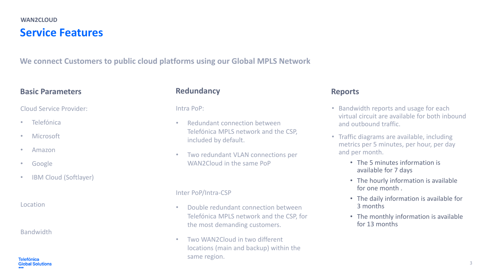# **Service Features WAN2CLOUD**

**We connect Customers to public cloud platforms using our Global MPLS Network**

## **Basic Parameters**

#### Cloud Service Provider:

- **Telefónica**
- Microsoft
- Amazon
- Google
- **IBM Cloud (Softlayer)**

Location

#### Bandwidth

#### **Telefónica Global Solutions**

## **Redundancy**

Intra PoP:

- Redundant connection between Telefónica MPLS network and the CSP, included by default.
- Two redundant VLAN connections per WAN2Cloud in the same PoP

#### Inter PoP/Intra-CSP

- Double redundant connection between Telefónica MPLS network and the CSP, for the most demanding customers.
- Two WAN2Cloud in two different locations (main and backup) within the same region.

## **Reports**

- Bandwidth reports and usage for each virtual circuit are available for both inbound and outbound traffic.
- Traffic diagrams are available, including metrics per 5 minutes, per hour, per day and per month.
	- The 5 minutes information is available for 7 days
	- The hourly information is available for one month .
	- The daily information is available for 3 months
	- The monthly information is available for 13 months